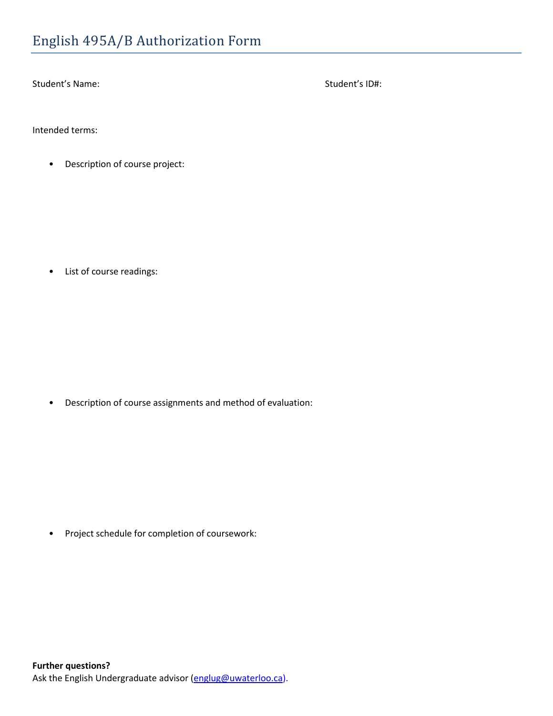Student's Name: Student's ID#:

Intended terms:

• Description of course project:

• List of course readings:

• Description of course assignments and method of evaluation:

• Project schedule for completion of coursework: